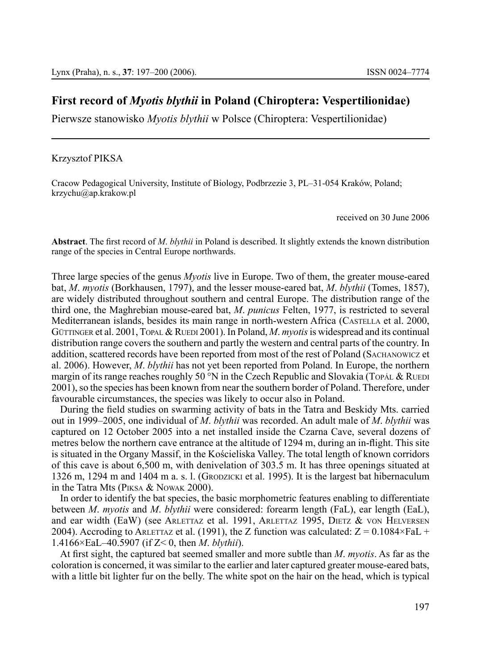# **First record of** *Myotis blythii* **in Poland (Chiroptera: Vespertilionidae)**

Pierwsze stanowisko *Myotis blythii* w Polsce (Chiroptera: Vespertilionidae)

#### Krzysztof Piksa

Cracow Pedagogical University, Institute of Biology, Podbrzezie 3, PL–31-054 Kraków, Poland; krzychu@ap.krakow.pl

received on 30 June 2006

**Abstract**. The first record of *M*. *blythii* in Poland is described. It slightly extends the known distribution range of the species in Central Europe northwards.

Three large species of the genus *Myotis* live in Europe. Two of them, the greater mouse-eared bat, *M*. *myotis* (Borkhausen, 1797), and the lesser mouse-eared bat, *M*. *blythii* (Tomes, 1857), are widely distributed throughout southern and central Europe. The distribution range of the third one, the Maghrebian mouse-eared bat, *M*. *punicus* Felten, 1977, is restricted to several Mediterranean islands, besides its main range in north-western Africa (CASTELLA et al. 2000, GÜTTINGER et al. 2001, TOPAL & RUEDI 2001). In Poland, *M. myotis* is widespread and its continual distribution range covers the southern and partly the western and central parts of the country. In addition, scattered records have been reported from most of the rest of Poland (SACHANOWICZ et al. 2006). However, *M*. *blythii* has not yet been reported from Poland. In Europe, the northern margin of its range reaches roughly 50  $\degree N$  in the Czech Republic and Slovakia (Topál & Ruedi 2001), so the species has been known from near the southern border of Poland. Therefore, under favourable circumstances, the species was likely to occur also in Poland.

During the field studies on swarming activity of bats in the Tatra and Beskidy Mts. carried out in 1999–2005, one individual of *M*. *blythii* was recorded. An adult male of *M*. *blythii* was captured on 12 October 2005 into a net installed inside the Czarna Cave, several dozens of metres below the northern cave entrance at the altitude of 1294 m, during an in-flight. This site is situated in the Organy Massif, in the Kościeliska Valley. The total length of known corridors of this cave is about 6,500 m, with denivelation of 303.5 m. It has three openings situated at 1326 m, 1294 m and 1404 m a. s. l. (Gropzicki et al. 1995). It is the largest bat hibernaculum in the Tatra Mts (Piksa & Nowak 2000).

In order to identify the bat species, the basic morphometric features enabling to differentiate between *M*. *myotis* and *M*. *blythii* were considered: forearm length (FaL), ear length (EaL), and ear width (EaW) (see ARLETTAZ et al. 1991, ARLETTAZ 1995, DIETZ  $&$  von HELVERSEN 2004). Accroding to ARLETTAZ et al. (1991), the Z function was calculated:  $Z = 0.1084 \times F_a L +$ 1.4166×EaL–40.5907 (if Z< 0, then *M*. *blythii*).

At first sight, the captured bat seemed smaller and more subtle than *M*. *myotis*. As far as the coloration is concerned, it was similar to the earlier and later captured greater mouse-eared bats, with a little bit lighter fur on the belly. The white spot on the hair on the head, which is typical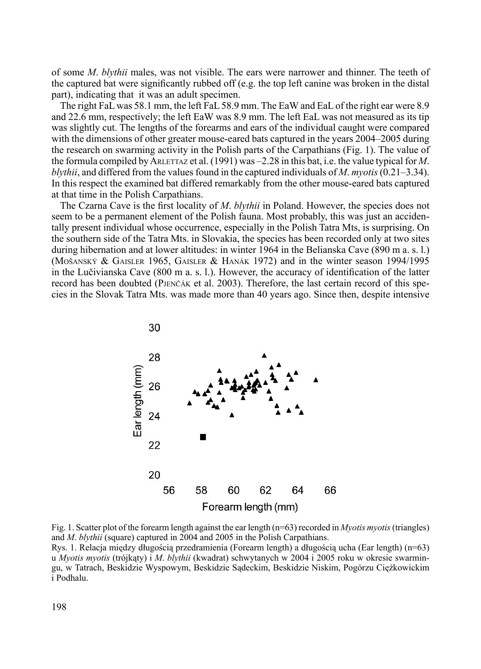of some *M*. *blythii* males, was not visible. The ears were narrower and thinner. The teeth of the captured bat were significantly rubbed off (e.g. the top left canine was broken in the distal part), indicating that it was an adult specimen.

The right FaL was 58.1 mm, the left FaL 58.9 mm. The EaW and EaL of the right ear were 8.9 and 22.6 mm, respectively; the left EaW was 8.9 mm. The left EaL was not measured as its tip was slightly cut. The lengths of the forearms and ears of the individual caught were compared with the dimensions of other greater mouse-eared bats captured in the years 2004–2005 during the research on swarming activity in the Polish parts of the Carpathians (Fig. 1). The value of the formula compiled by ARLETTAZ et al. (1991) was  $-2.28$  in this bat, i.e. the value typical for *M*. *blythii*, and differed from the values found in the captured individuals of *M*. *myotis* (0.21–3.34). In this respect the examined bat differed remarkably from the other mouse-eared bats captured at that time in the Polish Carpathians.

The Czarna Cave is the first locality of *M*. *blythii* in Poland. However, the species does not seem to be a permanent element of the Polish fauna. Most probably, this was just an accidentally present individual whose occurrence, especially in the Polish Tatra Mts, is surprising. On the southern side of the Tatra Mts. in Slovakia, the species has been recorded only at two sites during hibernation and at lower altitudes: in winter 1964 in the Belianska Cave (890 m a. s. l.) (Mošanský & Gaisler 1965, Gaisler & Hanák 1972) and in the winter season 1994/1995 in the Lučivianska Cave (800 m a. s. l.). However, the accuracy of identification of the latter record has been doubted (Pjenčák et al. 2003). Therefore, the last certain record of this species in the Slovak Tatra Mts. was made more than 40 years ago. Since then, despite intensive



Fig. 1. Scatter plot of the forearm length against the ear length (n=63) recorded in *Myotis myotis* (triangles) and *M*. *blythii* (square) captured in 2004 and 2005 in the Polish Carpathians.

Rys. 1. Relacja między długością przedramienia (Forearm length) a długością ucha (Ear length) (n=63) u *Myotis myotis* (trójkąty) i *M*. *blythii* (kwadrat) schwytanych w 2004 i 2005 roku w okresie swarmingu, w Tatrach, Beskidzie Wyspowym, Beskidzie Sądeckim, Beskidzie Niskim, Pogórzu Ciężkowickim i Podhalu.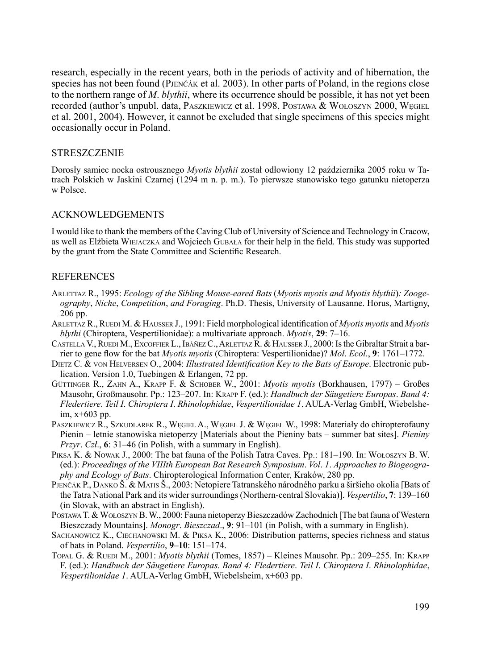research, especially in the recent years, both in the periods of activity and of hibernation, the species has not been found (Pjenčák et al. 2003). In other parts of Poland, in the regions close to the northern range of *M*. *blythii*, where its occurrence should be possible, it has not yet been recorded (author's unpubl. data, PASZKIEWICZ et al. 1998, POSTAWA & WOŁOSZYN 2000, WEGIEL et al. 2001, 2004). However, it cannot be excluded that single specimens of this species might occasionally occur in Poland.

### **STRESZCZENIE**

Dorosły samiec nocka ostrousznego *Myotis blythii* został odłowiony 12 października 2005 roku w Tatrach Polskich w Jaskini Czarnej (1294 m n. p. m.). To pierwsze stanowisko tego gatunku nietoperza w Polsce.

# Acknowledgements

I would like to thank the members of the Caving Club of University of Science and Technology in Cracow, as well as Elżbieta Wiejaczka and Wojciech Gubała for their help in the field. This study was supported by the grant from the State Committee and Scientific Research.

# **REFERENCES**

- Arlettaz R., 1995: *Ecology of the Sibling Mouse-eared Bats* (*Myotis myotis and Myotis blythii*)*: Zoogeography*, *Niche*, *Competition*, *and Foraging*. Ph.D. Thesis, University of Lausanne. Horus, Martigny, 206 pp.
- Arlettaz R., Ruedi M. & Hausser J., 1991: Field morphological identification of *Myotis myotis* and *Myotis blythi* (Chiroptera, Vespertilionidae): a multivariate approach. *Myotis*, **29**: 7–16.
- CASTELLA V., RUEDI M., EXCOFFIER L., IBÁÑEZ C., ARLETTAZ R. & HAUSSER J., 2000: Is the Gibraltar Strait a barrier to gene flow for the bat *Myotis myotis* (Chiroptera: Vespertilionidae)? *Mol*. *Ecol*., **9**: 1761–1772.
- Dietz C. & von Helversen O., 2004: *Illustrated Identification Key to the Bats of Europe*. Electronic publication. Version 1.0, Tuebingen & Erlangen, 72 pp.
- Güttinger R., Zahn A., Krapp F. & Schober W., 2001: *Myotis myotis* (Borkhausen, 1797) Großes Mausohr, Großmausohr. Pp.: 123–207. In: Krapp F. (ed.): *Handbuch der Säugetiere Europas*. *Band 4: Fledertiere*. *Teil I*. *Chiroptera I*. *Rhinolophidae*, *Vespertilionidae 1*. AULA-Verlag GmbH, Wiebelsheim, x+603 pp.
- PASZKIEWICZ R., SZKUDLAREK R., WĘGIEL A., WĘGIEL J. & WĘGIEL W., 1998: Materiały do chiropterofauny Pienin – letnie stanowiska nietoperzy [Materials about the Pieniny bats – summer bat sites]. *Pieniny Przyr*. *Czł*., **6**: 31–46 (in Polish, with a summary in English).
- Piksa K. & Nowak J., 2000: The bat fauna of the Polish Tatra Caves. Pp.: 181–190. In: Wołoszyn B. W. (ed.): *Proceedings of the VIIIth European Bat Research Symposium*. *Vol*. *1*. *Approaches to Biogeography and Ecology of Bats*. Chiropterological Information Center, Kraków, 280 pp.
- Pjenčák P., Danko Š. & Matis Š., 2003: Netopiere Tatranského národného parku a širšieho okolia [Bats of the Tatra National Park and its wider surroundings (Northern-central Slovakia)]. *Vespertilio*, **7**: 139–160 (in Slovak, with an abstract in English).
- Postawa T. & Wołoszyn B. W., 2000: Fauna nietoperzy Bieszczadów Zachodnich [The bat fauna of Western Bieszczady Mountains]. *Monogr*. *Bieszczad*., **9**: 91–101 (in Polish, with a summary in English).
- Sachanowicz K., Ciechanowski M. & Piksa K., 2006: Distribution patterns, species richness and status of bats in Poland. *Vespertilio*, **9–10**: 151–174.
- Topal G. & Ruedi M., 2001: *Myotis blythii* (Tomes, 1857) Kleines Mausohr. Pp.: 209–255. In: Krapp F. (ed.): *Handbuch der Säugetiere Europas*. *Band 4: Fledertiere*. *Teil I*. *Chiroptera I*. *Rhinolophidae*, *Vespertilionidae 1*. AULA-Verlag GmbH, Wiebelsheim, x+603 pp.